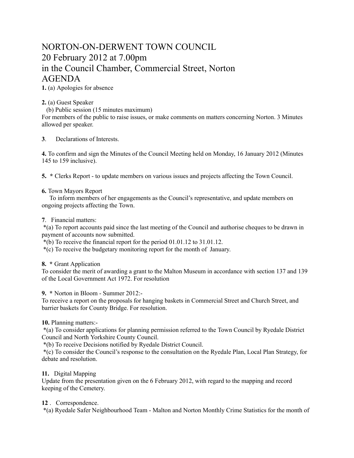# NORTON-ON-DERWENT TOWN COUNCIL 20 February 2012 at 7.00pm in the Council Chamber, Commercial Street, Norton AGENDA

**1.** (a) Apologies for absence

## **2.** (a) Guest Speaker

(b) Public session (15 minutes maximum)

For members of the public to raise issues, or make comments on matters concerning Norton. 3 Minutes allowed per speaker.

**3**. Declarations of Interests.

**4.** To confirm and sign the Minutes of the Council Meeting held on Monday, 16 January 2012 (Minutes 145 to 159 inclusive).

**5. \*** Clerks Report - to update members on various issues and projects affecting the Town Council.

### **6.** Town Mayors Report

 To inform members of her engagements as the Council's representative, and update members on ongoing projects affecting the Town.

#### **7**. Financial matters:

 \*(a) To report accounts paid since the last meeting of the Council and authorise cheques to be drawn in payment of accounts now submitted.

\*(b) To receive the financial report for the period 01.01.12 to 31.01.12.

\*(c) To receive the budgetary monitoring report for the month of January.

#### **8. \*** Grant Application

To consider the merit of awarding a grant to the Malton Museum in accordance with section 137 and 139 of the Local Government Act 1972. For resolution

**9. \*** Norton in Bloom - Summer 2012:-

To receive a report on the proposals for hanging baskets in Commercial Street and Church Street, and barrier baskets for County Bridge. For resolution.

## **10.** Planning matters:-

 \*(a) To consider applications for planning permission referred to the Town Council by Ryedale District Council and North Yorkshire County Council.

\*(b) To receive Decisions notified by Ryedale District Council.

 \*(c) To consider the Council's response to the consultation on the Ryedale Plan, Local Plan Strategy, for debate and resolution.

## **11.** Digital Mapping

Update from the presentation given on the 6 February 2012, with regard to the mapping and record keeping of the Cemetery.

## **12** . Correspondence.

\*(a) Ryedale Safer Neighbourhood Team - Malton and Norton Monthly Crime Statistics for the month of